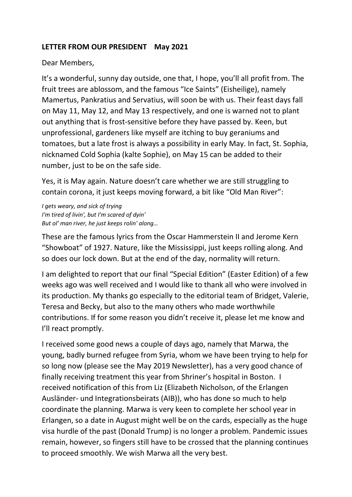## **LETTER FROM OUR PRESIDENT May 2021**

## Dear Members,

It's a wonderful, sunny day outside, one that, I hope, you'll all profit from. The fruit trees are ablossom, and the famous "Ice Saints" (Eisheilige), namely Mamertus, Pankratius and Servatius, will soon be with us. Their feast days fall on May 11, May 12, and May 13 respectively, and one is warned not to plant out anything that is frost-sensitive before they have passed by. Keen, but unprofessional, gardeners like myself are itching to buy geraniums and tomatoes, but a late frost is always a possibility in early May. In fact, St. Sophia, nicknamed Cold Sophia (kalte Sophie), on May 15 can be added to their number, just to be on the safe side.

Yes, it is May again. Nature doesn't care whether we are still struggling to contain corona, it just keeps moving forward, a bit like "Old Man River":

*I gets weary, and sick of trying I'm tired of livin', but I'm scared of dyin' But ol' man river, he just keeps rolin' along…*

These are the famous lyrics from the Oscar Hammerstein II and Jerome Kern "Showboat" of 1927. Nature, like the Mississippi, just keeps rolling along. And so does our lock down. But at the end of the day, normality will return.

I am delighted to report that our final "Special Edition" (Easter Edition) of a few weeks ago was well received and I would like to thank all who were involved in its production. My thanks go especially to the editorial team of Bridget, Valerie, Teresa and Becky, but also to the many others who made worthwhile contributions. If for some reason you didn't receive it, please let me know and I'll react promptly.

I received some good news a couple of days ago, namely that Marwa, the young, badly burned refugee from Syria, whom we have been trying to help for so long now (please see the May 2019 Newsletter), has a very good chance of finally receiving treatment this year from Shriner's hospital in Boston. I received notification of this from Liz (Elizabeth Nicholson, of the Erlangen Ausländer- und Integrationsbeirats (AIB)), who has done so much to help coordinate the planning. Marwa is very keen to complete her school year in Erlangen, so a date in August might well be on the cards, especially as the huge visa hurdle of the past (Donald Trump) is no longer a problem. Pandemic issues remain, however, so fingers still have to be crossed that the planning continues to proceed smoothly. We wish Marwa all the very best.